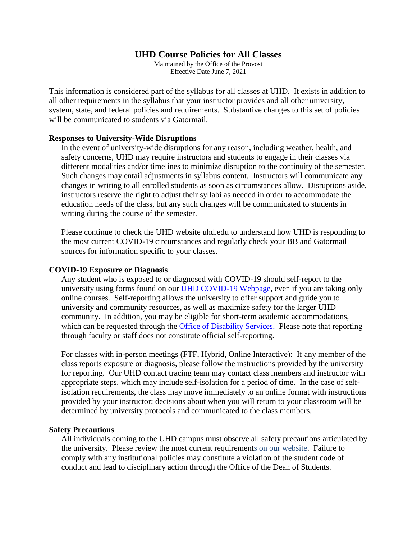# **UHD Course Policies for All Classes**

Maintained by the Office of the Provost Effective Date June 7, 2021

This information is considered part of the syllabus for all classes at UHD. It exists in addition to all other requirements in the syllabus that your instructor provides and all other university, system, state, and federal policies and requirements. Substantive changes to this set of policies will be communicated to students via Gatormail.

# **Responses to University-Wide Disruptions**

In the event of university-wide disruptions for any reason, including weather, health, and safety concerns, UHD may require instructors and students to engage in their classes via different modalities and/or timelines to minimize disruption to the continuity of the semester. Such changes may entail adjustments in syllabus content. Instructors will communicate any changes in writing to all enrolled students as soon as circumstances allow. Disruptions aside, instructors reserve the right to adjust their syllabi as needed in order to accommodate the education needs of the class, but any such changes will be communicated to students in writing during the course of the semester.

Please continue to check the UHD website uhd.edu to understand how UHD is responding to the most current COVID-19 circumstances and regularly check your BB and Gatormail sources for information specific to your classes.

### **COVID-19 Exposure or Diagnosis**

Any student who is exposed to or diagnosed with COVID-19 should self-report to the university using forms found on our [UHD COVID-19 Webpage,](https://www.uhd.edu/administration/emergency-management/coronavirus/Pages/default.aspx) even if you are taking only online courses. Self-reporting allows the university to offer support and guide you to university and community resources, as well as maximize safety for the larger UHD community. In addition, you may be eligible for short-term academic accommodations, which can be requested through the [Office of Disability Services.](https://www.uhd.edu/student-life/disability/Pages/disability-index.aspx) Please note that reporting through faculty or staff does not constitute official self-reporting.

For classes with in-person meetings (FTF, Hybrid, Online Interactive): If any member of the class reports exposure or diagnosis, please follow the instructions provided by the university for reporting. Our UHD contact tracing team may contact class members and instructor with appropriate steps, which may include self-isolation for a period of time. In the case of selfisolation requirements, the class may move immediately to an online format with instructions provided by your instructor; decisions about when you will return to your classroom will be determined by university protocols and communicated to the class members.

#### **Safety Precautions**

All individuals coming to the UHD campus must observe all safety precautions articulated by the university. Please review the most current requirements [on our website.](https://www.uhd.edu/administration/emergency-management/coronavirus/Pages/campus-safety-protocols.aspx) Failure to comply with any institutional policies may constitute a violation of the student code of conduct and lead to disciplinary action through the Office of the Dean of Students.